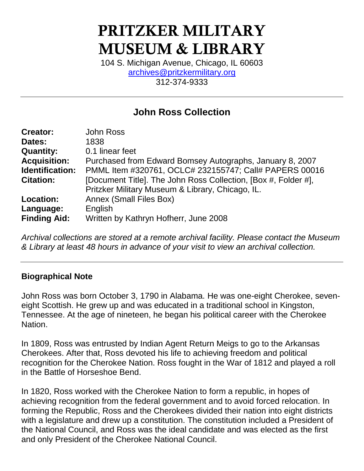# PRITZKER MILITARY MUSEUM & LIBRARY

104 S. Michigan Avenue, Chicago, IL 60603 [archives@pritzkermilitary.org](mailto:archives@pritzkermilitary.org) 312-374-9333

## **John Ross Collection**

| <b>Creator:</b>        | <b>John Ross</b>                                               |
|------------------------|----------------------------------------------------------------|
| Dates:                 | 1838                                                           |
| <b>Quantity:</b>       | 0.1 linear feet                                                |
| <b>Acquisition:</b>    | Purchased from Edward Bomsey Autographs, January 8, 2007       |
| <b>Identification:</b> | PMML Item #320761, OCLC# 232155747; Call# PAPERS 00016         |
| <b>Citation:</b>       | [Document Title]. The John Ross Collection, [Box #, Folder #], |
|                        | Pritzker Military Museum & Library, Chicago, IL.               |
| <b>Location:</b>       | <b>Annex (Small Files Box)</b>                                 |
| Language:              | English                                                        |
| <b>Finding Aid:</b>    | Written by Kathryn Hofherr, June 2008                          |
|                        |                                                                |

*Archival collections are stored at a remote archival facility. Please contact the Museum & Library at least 48 hours in advance of your visit to view an archival collection.*

#### **Biographical Note**

John Ross was born October 3, 1790 in Alabama. He was one-eight Cherokee, seveneight Scottish. He grew up and was educated in a traditional school in Kingston, Tennessee. At the age of nineteen, he began his political career with the Cherokee Nation.

In 1809, Ross was entrusted by Indian Agent Return Meigs to go to the Arkansas Cherokees. After that, Ross devoted his life to achieving freedom and political recognition for the Cherokee Nation. Ross fought in the War of 1812 and played a roll in the Battle of Horseshoe Bend.

In 1820, Ross worked with the Cherokee Nation to form a republic, in hopes of achieving recognition from the federal government and to avoid forced relocation. In forming the Republic, Ross and the Cherokees divided their nation into eight districts with a legislature and drew up a constitution. The constitution included a President of the National Council, and Ross was the ideal candidate and was elected as the first and only President of the Cherokee National Council.